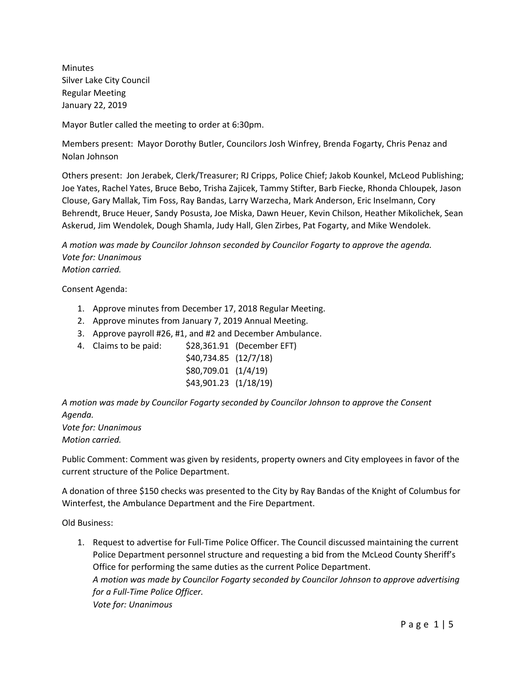Minutes Silver Lake City Council Regular Meeting January 22, 2019

Mayor Butler called the meeting to order at 6:30pm.

Members present: Mayor Dorothy Butler, Councilors Josh Winfrey, Brenda Fogarty, Chris Penaz and Nolan Johnson

Others present: Jon Jerabek, Clerk/Treasurer; RJ Cripps, Police Chief; Jakob Kounkel, McLeod Publishing; Joe Yates, Rachel Yates, Bruce Bebo, Trisha Zajicek, Tammy Stifter, Barb Fiecke, Rhonda Chloupek, Jason Clouse, Gary Mallak, Tim Foss, Ray Bandas, Larry Warzecha, Mark Anderson, Eric Inselmann, Cory Behrendt, Bruce Heuer, Sandy Posusta, Joe Miska, Dawn Heuer, Kevin Chilson, Heather Mikolichek, Sean Askerud, Jim Wendolek, Dough Shamla, Judy Hall, Glen Zirbes, Pat Fogarty, and Mike Wendolek.

*A motion was made by Councilor Johnson seconded by Councilor Fogarty to approve the agenda. Vote for: Unanimous Motion carried.*

Consent Agenda:

- 1. Approve minutes from December 17, 2018 Regular Meeting.
- 2. Approve minutes from January 7, 2019 Annual Meeting.
- 3. Approve payroll #26, #1, and #2 and December Ambulance.
- 4. Claims to be paid: \$28,361.91 (December EFT)

\$40,734.85 (12/7/18) \$80,709.01 (1/4/19) \$43,901.23 (1/18/19)

*A motion was made by Councilor Fogarty seconded by Councilor Johnson to approve the Consent Agenda.*

*Vote for: Unanimous Motion carried.*

Public Comment: Comment was given by residents, property owners and City employees in favor of the current structure of the Police Department.

A donation of three \$150 checks was presented to the City by Ray Bandas of the Knight of Columbus for Winterfest, the Ambulance Department and the Fire Department.

Old Business:

1. Request to advertise for Full-Time Police Officer. The Council discussed maintaining the current Police Department personnel structure and requesting a bid from the McLeod County Sheriff's Office for performing the same duties as the current Police Department. *A motion was made by Councilor Fogarty seconded by Councilor Johnson to approve advertising for a Full-Time Police Officer. Vote for: Unanimous*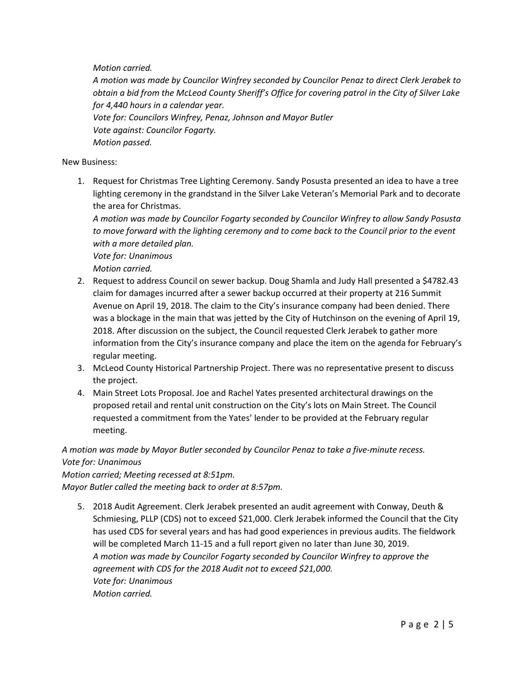*Motion carried.*

*A motion was made by Councilor Winfrey seconded by Councilor Penaz to direct Clerk Jerabek to obtain a bid from the McLeod County Sheriff's Office for covering patrol in the City of Silver Lake for 4,440 hours in a calendar year. Vote for: Councilors Winfrey, Penaz, Johnson and Mayor Butler Vote against: Councilor Fogarty. Motion passed.*

#### New Business:

1. Request for Christmas Tree Lighting Ceremony. Sandy Posusta presented an idea to have a tree lighting ceremony in the grandstand in the Silver Lake Veteran's Memorial Park and to decorate the area for Christmas.

*A motion was made by Councilor Fogarty seconded by Councilor Winfrey to allow Sandy Posusta to move forward with the lighting ceremony and to come back to the Council prior to the event with a more detailed plan.*

*Vote for: Unanimous Motion carried.*

- 2. Request to address Council on sewer backup. Doug Shamla and Judy Hall presented a \$4782.43 claim for damages incurred after a sewer backup occurred at their property at 216 Summit Avenue on April 19, 2018. The claim to the City's insurance company had been denied. There was a blockage in the main that was jetted by the City of Hutchinson on the evening of April 19, 2018. After discussion on the subject, the Council requested Clerk Jerabek to gather more information from the City's insurance company and place the item on the agenda for February's regular meeting.
- 3. McLeod County Historical Partnership Project. There was no representative present to discuss the project.
- 4. Main Street Lots Proposal. Joe and Rachel Yates presented architectural drawings on the proposed retail and rental unit construction on the City's lots on Main Street. The Council requested a commitment from the Yates' lender to be provided at the February regular meeting.

*A motion was made by Mayor Butler seconded by Councilor Penaz to take a five-minute recess. Vote for: Unanimous*

*Motion carried; Meeting recessed at 8:51pm. Mayor Butler called the meeting back to order at 8:57pm.*

5. 2018 Audit Agreement. Clerk Jerabek presented an audit agreement with Conway, Deuth & Schmiesing, PLLP (CDS) not to exceed \$21,000. Clerk Jerabek informed the Council that the City has used CDS for several years and has had good experiences in previous audits. The fieldwork will be completed March 11-15 and a full report given no later than June 30, 2019. *A motion was made by Councilor Fogarty seconded by Councilor Winfrey to approve the agreement with CDS for the 2018 Audit not to exceed \$21,000. Vote for: Unanimous Motion carried.*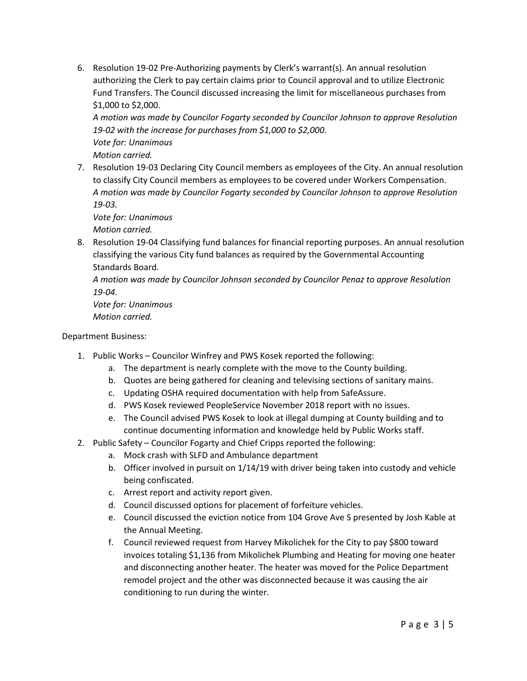6. Resolution 19-02 Pre-Authorizing payments by Clerk's warrant(s). An annual resolution authorizing the Clerk to pay certain claims prior to Council approval and to utilize Electronic Fund Transfers. The Council discussed increasing the limit for miscellaneous purchases from \$1,000 to \$2,000.

*A motion was made by Councilor Fogarty seconded by Councilor Johnson to approve Resolution 19-02 with the increase for purchases from \$1,000 to \$2,000. Vote for: Unanimous Motion carried.*

7. Resolution 19-03 Declaring City Council members as employees of the City. An annual resolution to classify City Council members as employees to be covered under Workers Compensation. *A motion was made by Councilor Fogarty seconded by Councilor Johnson to approve Resolution 19-03.*

*Vote for: Unanimous Motion carried.*

8. Resolution 19-04 Classifying fund balances for financial reporting purposes. An annual resolution classifying the various City fund balances as required by the Governmental Accounting Standards Board.

*A motion was made by Councilor Johnson seconded by Councilor Penaz to approve Resolution 19-04.*

*Vote for: Unanimous Motion carried.*

# Department Business:

- 1. Public Works Councilor Winfrey and PWS Kosek reported the following:
	- a. The department is nearly complete with the move to the County building.
	- b. Quotes are being gathered for cleaning and televising sections of sanitary mains.
	- c. Updating OSHA required documentation with help from SafeAssure.
	- d. PWS Kosek reviewed PeopleService November 2018 report with no issues.
	- e. The Council advised PWS Kosek to look at illegal dumping at County building and to continue documenting information and knowledge held by Public Works staff.
- 2. Public Safety Councilor Fogarty and Chief Cripps reported the following:
	- a. Mock crash with SLFD and Ambulance department
	- b. Officer involved in pursuit on 1/14/19 with driver being taken into custody and vehicle being confiscated.
	- c. Arrest report and activity report given.
	- d. Council discussed options for placement of forfeiture vehicles.
	- e. Council discussed the eviction notice from 104 Grove Ave S presented by Josh Kable at the Annual Meeting.
	- f. Council reviewed request from Harvey Mikolichek for the City to pay \$800 toward invoices totaling \$1,136 from Mikolichek Plumbing and Heating for moving one heater and disconnecting another heater. The heater was moved for the Police Department remodel project and the other was disconnected because it was causing the air conditioning to run during the winter.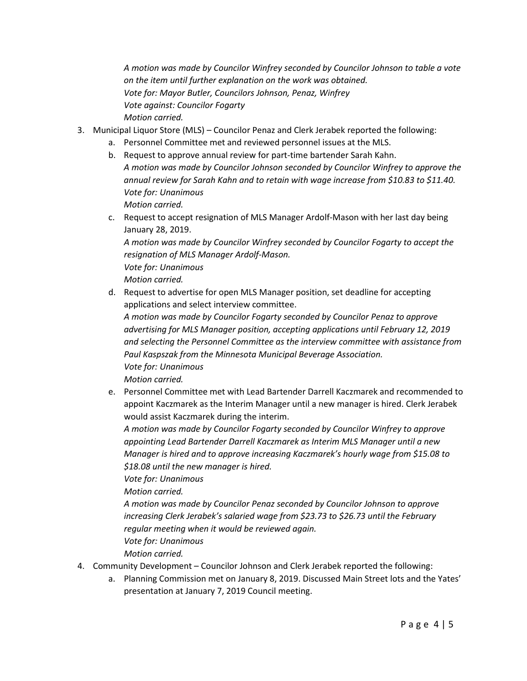*A motion was made by Councilor Winfrey seconded by Councilor Johnson to table a vote on the item until further explanation on the work was obtained. Vote for: Mayor Butler, Councilors Johnson, Penaz, Winfrey Vote against: Councilor Fogarty Motion carried.*

- 3. Municipal Liquor Store (MLS) Councilor Penaz and Clerk Jerabek reported the following:
	- a. Personnel Committee met and reviewed personnel issues at the MLS.
	- b. Request to approve annual review for part-time bartender Sarah Kahn. *A motion was made by Councilor Johnson seconded by Councilor Winfrey to approve the annual review for Sarah Kahn and to retain with wage increase from \$10.83 to \$11.40. Vote for: Unanimous Motion carried.*
	- c. Request to accept resignation of MLS Manager Ardolf-Mason with her last day being January 28, 2019.

*A motion was made by Councilor Winfrey seconded by Councilor Fogarty to accept the resignation of MLS Manager Ardolf-Mason. Vote for: Unanimous*

*Motion carried.*

d. Request to advertise for open MLS Manager position, set deadline for accepting applications and select interview committee.

*A motion was made by Councilor Fogarty seconded by Councilor Penaz to approve advertising for MLS Manager position, accepting applications until February 12, 2019 and selecting the Personnel Committee as the interview committee with assistance from Paul Kaspszak from the Minnesota Municipal Beverage Association. Vote for: Unanimous*

*Motion carried.*

e. Personnel Committee met with Lead Bartender Darrell Kaczmarek and recommended to appoint Kaczmarek as the Interim Manager until a new manager is hired. Clerk Jerabek would assist Kaczmarek during the interim.

*A motion was made by Councilor Fogarty seconded by Councilor Winfrey to approve appointing Lead Bartender Darrell Kaczmarek as Interim MLS Manager until a new Manager is hired and to approve increasing Kaczmarek's hourly wage from \$15.08 to \$18.08 until the new manager is hired.* 

*Vote for: Unanimous*

*Motion carried.*

*A motion was made by Councilor Penaz seconded by Councilor Johnson to approve increasing Clerk Jerabek's salaried wage from \$23.73 to \$26.73 until the February regular meeting when it would be reviewed again. Vote for: Unanimous*

*Motion carried.*

- 4. Community Development Councilor Johnson and Clerk Jerabek reported the following:
	- a. Planning Commission met on January 8, 2019. Discussed Main Street lots and the Yates' presentation at January 7, 2019 Council meeting.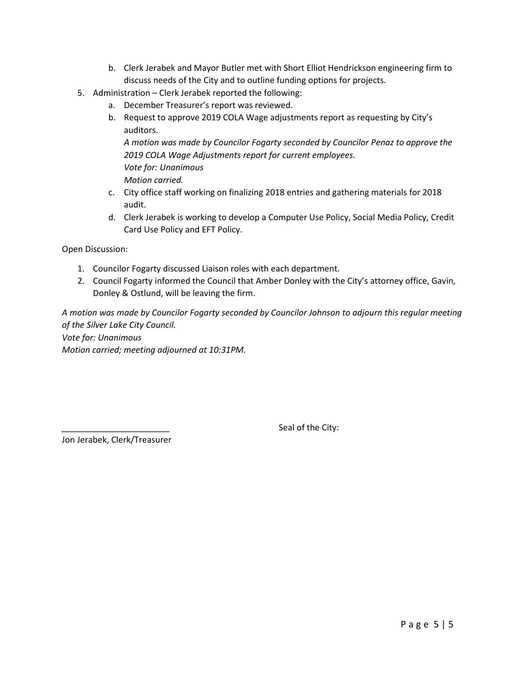- b. Clerk Jerabek and Mayor Butler met with Short Elliot Hendrickson engineering firm to discuss needs of the City and to outline funding options for projects.
- 5. Administration Clerk Jerabek reported the following:
	- a. December Treasurer's report was reviewed.
	- b. Request to approve 2019 COLA Wage adjustments report as requesting by City's auditors.

*A motion was made by Councilor Fogarty seconded by Councilor Penaz to approve the 2019 COLA Wage Adjustments report for current employees. Vote for: Unanimous Motion carried.*

- c. City office staff working on finalizing 2018 entries and gathering materials for 2018 audit.
- d. Clerk Jerabek is working to develop a Computer Use Policy, Social Media Policy, Credit Card Use Policy and EFT Policy.

Open Discussion:

- 1. Councilor Fogarty discussed Liaison roles with each department.
- 2. Council Fogarty informed the Council that Amber Donley with the City's attorney office, Gavin, Donley & Ostlund, will be leaving the firm.

*A motion was made by Councilor Fogarty seconded by Councilor Johnson to adjourn this regular meeting of the Silver Lake City Council. Vote for: Unanimous Motion carried; meeting adjourned at 10:31PM.*

Jon Jerabek, Clerk/Treasurer

Seal of the City: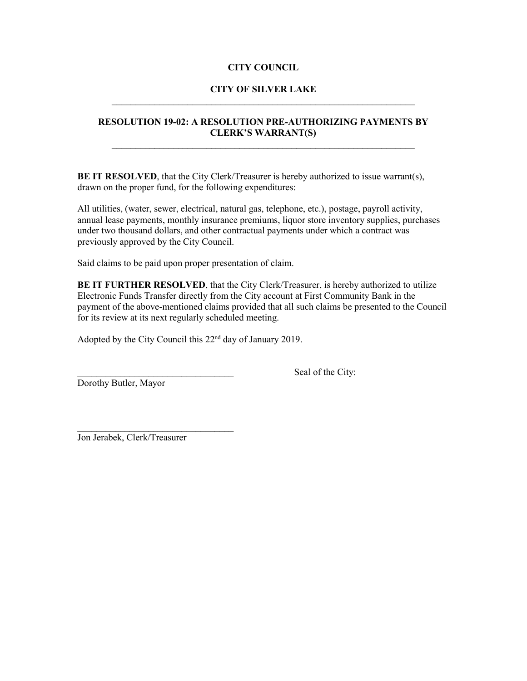### **CITY COUNCIL**

### **CITY OF SILVER LAKE** \_\_\_\_\_\_\_\_\_\_\_\_\_\_\_\_\_\_\_\_\_\_\_\_\_\_\_\_\_\_\_\_\_\_\_\_\_\_\_\_\_\_\_\_\_\_\_\_\_\_\_\_\_\_\_\_\_\_\_\_\_\_\_\_

### **RESOLUTION 19-02: A RESOLUTION PRE-AUTHORIZING PAYMENTS BY CLERK'S WARRANT(S)** \_\_\_\_\_\_\_\_\_\_\_\_\_\_\_\_\_\_\_\_\_\_\_\_\_\_\_\_\_\_\_\_\_\_\_\_\_\_\_\_\_\_\_\_\_\_\_\_\_\_\_\_\_\_\_\_\_\_\_\_\_\_\_\_

**BE IT RESOLVED**, that the City Clerk/Treasurer is hereby authorized to issue warrant(s), drawn on the proper fund, for the following expenditures:

All utilities, (water, sewer, electrical, natural gas, telephone, etc.), postage, payroll activity, annual lease payments, monthly insurance premiums, liquor store inventory supplies, purchases under two thousand dollars, and other contractual payments under which a contract was previously approved by the City Council.

Said claims to be paid upon proper presentation of claim.

**BE IT FURTHER RESOLVED**, that the City Clerk/Treasurer, is hereby authorized to utilize Electronic Funds Transfer directly from the City account at First Community Bank in the payment of the above-mentioned claims provided that all such claims be presented to the Council for its review at its next regularly scheduled meeting.

Adopted by the City Council this 22nd day of January 2019.

Dorothy Butler, Mayor

Seal of the City:

Jon Jerabek, Clerk/Treasurer

 $\mathcal{L}_\text{max}$  , where  $\mathcal{L}_\text{max}$  , we are the set of the set of the set of the set of the set of the set of the set of the set of the set of the set of the set of the set of the set of the set of the set of the set of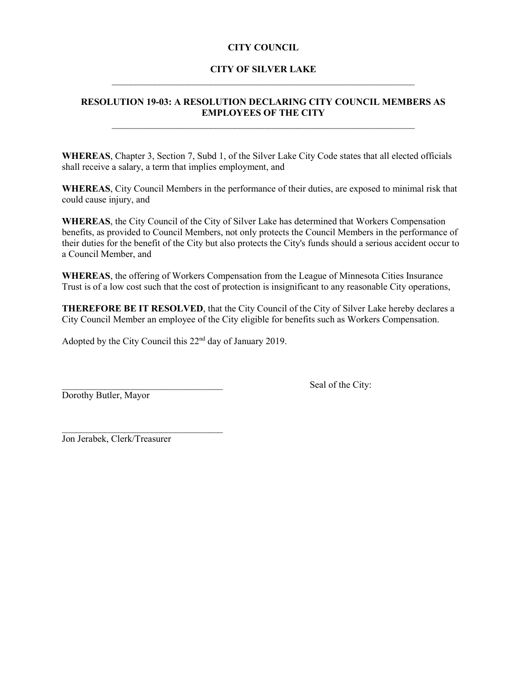### **CITY COUNCIL**

### **CITY OF SILVER LAKE**  $\mathcal{L}_\mathcal{L}$  , and the contribution of the contribution of the contribution of the contribution of the contribution of the contribution of the contribution of the contribution of the contribution of the contribution of

### **RESOLUTION 19-03: A RESOLUTION DECLARING CITY COUNCIL MEMBERS AS EMPLOYEES OF THE CITY**  $\mathcal{L}_\text{max}$  , and the contribution of the contribution of the contribution of the contribution of the contribution of the contribution of the contribution of the contribution of the contribution of the contribution of t

**WHEREAS**, Chapter 3, Section 7, Subd 1, of the Silver Lake City Code states that all elected officials shall receive a salary, a term that implies employment, and

**WHEREAS**, City Council Members in the performance of their duties, are exposed to minimal risk that could cause injury, and

**WHEREAS**, the City Council of the City of Silver Lake has determined that Workers Compensation benefits, as provided to Council Members, not only protects the Council Members in the performance of their duties for the benefit of the City but also protects the City's funds should a serious accident occur to a Council Member, and

**WHEREAS**, the offering of Workers Compensation from the League of Minnesota Cities Insurance Trust is of a low cost such that the cost of protection is insignificant to any reasonable City operations,

**THEREFORE BE IT RESOLVED**, that the City Council of the City of Silver Lake hereby declares a City Council Member an employee of the City eligible for benefits such as Workers Compensation.

Adopted by the City Council this 22nd day of January 2019.

Dorothy Butler, Mayor

Seal of the City:

Jon Jerabek, Clerk/Treasurer

 $\mathcal{L}_\text{max}$  , where  $\mathcal{L}_\text{max}$  is the set of the set of the set of the set of the set of the set of the set of the set of the set of the set of the set of the set of the set of the set of the set of the set of the se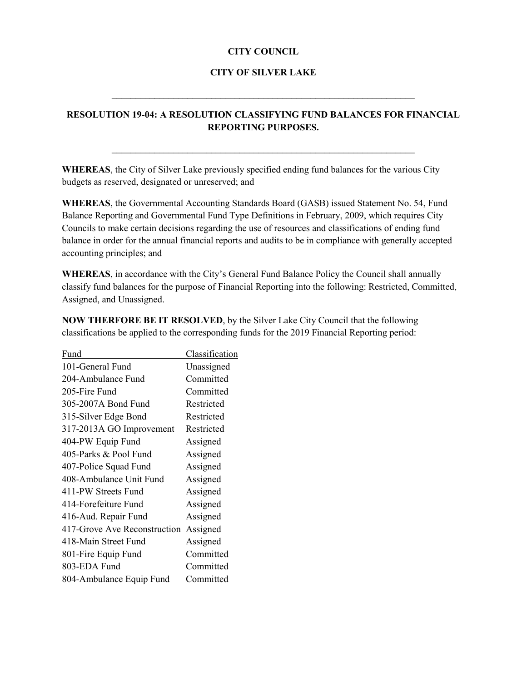### **CITY COUNCIL**

#### **CITY OF SILVER LAKE**

 $\mathcal{L}_\mathcal{L}$  , and the contribution of the contribution of the contribution of the contribution of the contribution of the contribution of the contribution of the contribution of the contribution of the contribution of

## **RESOLUTION 19-04: A RESOLUTION CLASSIFYING FUND BALANCES FOR FINANCIAL REPORTING PURPOSES.**

 $\mathcal{L}_\text{max}$  , and the contribution of the contribution of the contribution of the contribution of the contribution of the contribution of the contribution of the contribution of the contribution of the contribution of t

**WHEREAS**, the City of Silver Lake previously specified ending fund balances for the various City budgets as reserved, designated or unreserved; and

**WHEREAS**, the Governmental Accounting Standards Board (GASB) issued Statement No. 54, Fund Balance Reporting and Governmental Fund Type Definitions in February, 2009, which requires City Councils to make certain decisions regarding the use of resources and classifications of ending fund balance in order for the annual financial reports and audits to be in compliance with generally accepted accounting principles; and

**WHEREAS**, in accordance with the City's General Fund Balance Policy the Council shall annually classify fund balances for the purpose of Financial Reporting into the following: Restricted, Committed, Assigned, and Unassigned.

| Fund                         | Classification |
|------------------------------|----------------|
| 101-General Fund             | Unassigned     |
| 204-Ambulance Fund           | Committed      |
| 205-Fire Fund                | Committed      |
| 305-2007A Bond Fund          | Restricted     |
| 315-Silver Edge Bond         | Restricted     |
| 317-2013A GO Improvement     | Restricted     |
| 404-PW Equip Fund            | Assigned       |
| 405-Parks & Pool Fund        | Assigned       |
| 407-Police Squad Fund        | Assigned       |
| 408-Ambulance Unit Fund      | Assigned       |
| 411-PW Streets Fund          | Assigned       |
| 414-Forefeiture Fund         | Assigned       |
| 416-Aud. Repair Fund         | Assigned       |
| 417-Grove Ave Reconstruction | Assigned       |
| 418-Main Street Fund         | Assigned       |
| 801-Fire Equip Fund          | Committed      |
| 803-EDA Fund                 | Committed      |
| 804-Ambulance Equip Fund     | Committed      |
|                              |                |

**NOW THERFORE BE IT RESOLVED**, by the Silver Lake City Council that the following classifications be applied to the corresponding funds for the 2019 Financial Reporting period: